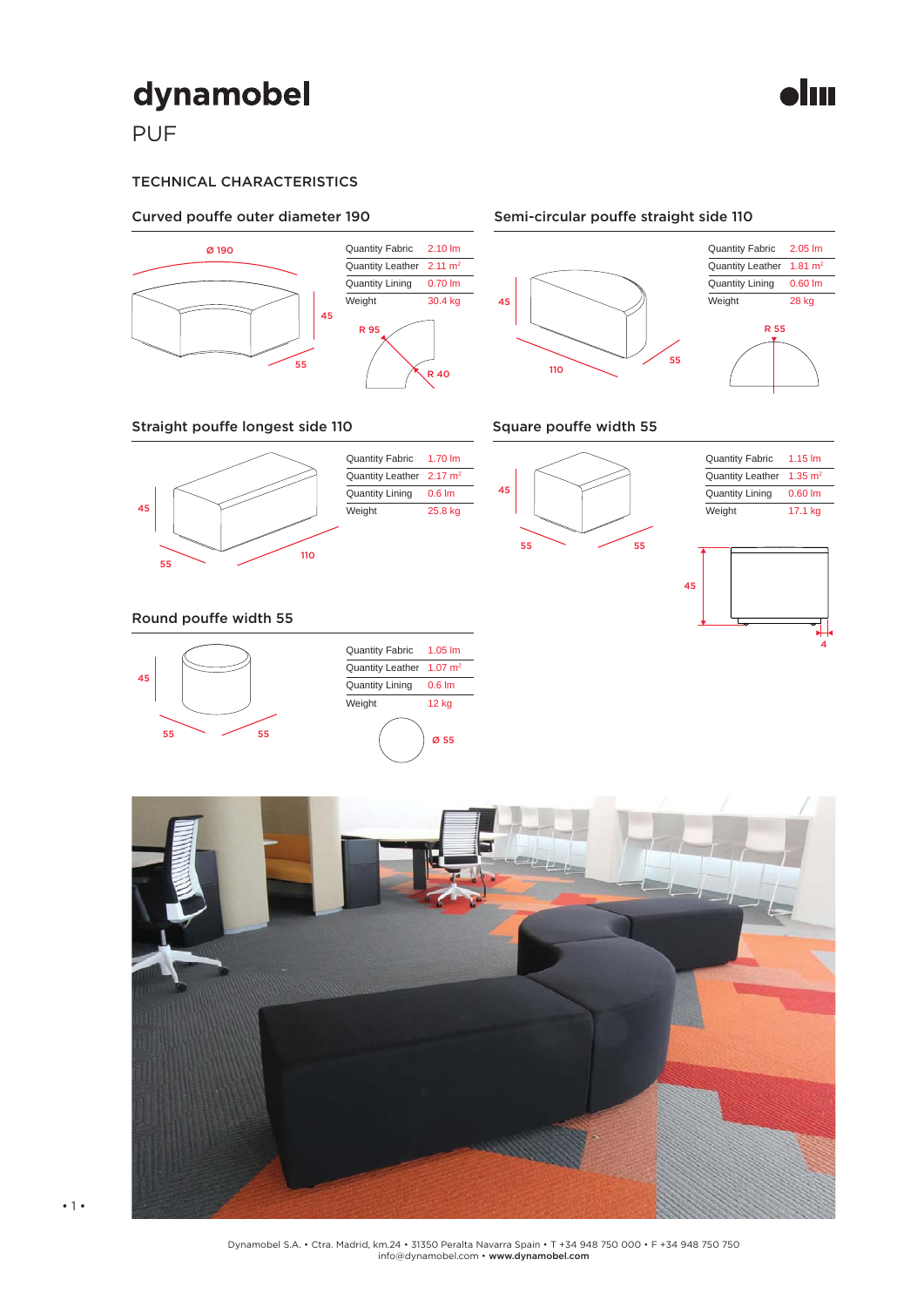## dynamobel

PUF

## TECHNICAL CHARACTERISTICS



### Straight pouffe longest side 110



Quantity Fabric Quantity Leather 2.17 m<sup>2</sup> Quantity Lining **Weight** 1.70 lm 0.6 lm 25.8 kg

### Square pouffe width 55







#### Round pouffe width 55









Semi-circular pouffe straight side 110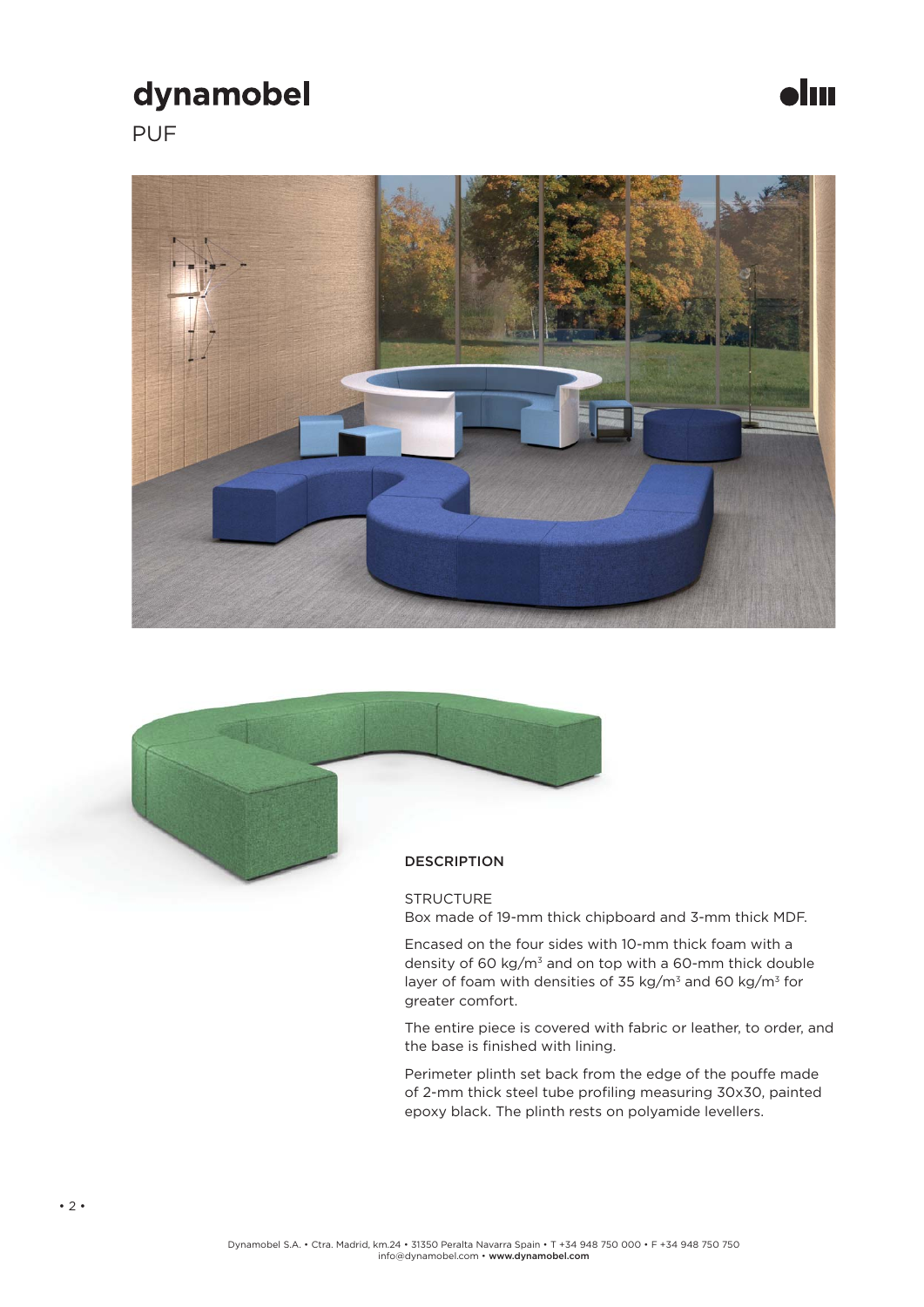## dynamobel

PUF





**STRUCTURE** Box made of 19-mm thick chipboard and 3-mm thick MDF.

Jm

Encased on the four sides with 10-mm thick foam with a density of 60 kg/m<sup>3</sup> and on top with a 60-mm thick double layer of foam with densities of 35 kg/m<sup>3</sup> and 60 kg/m<sup>3</sup> for greater comfort.

The entire piece is covered with fabric or leather, to order, and the base is finished with lining.

Perimeter plinth set back from the edge of the pouffe made of 2-mm thick steel tube profiling measuring 30x30, painted epoxy black. The plinth rests on polyamide levellers.